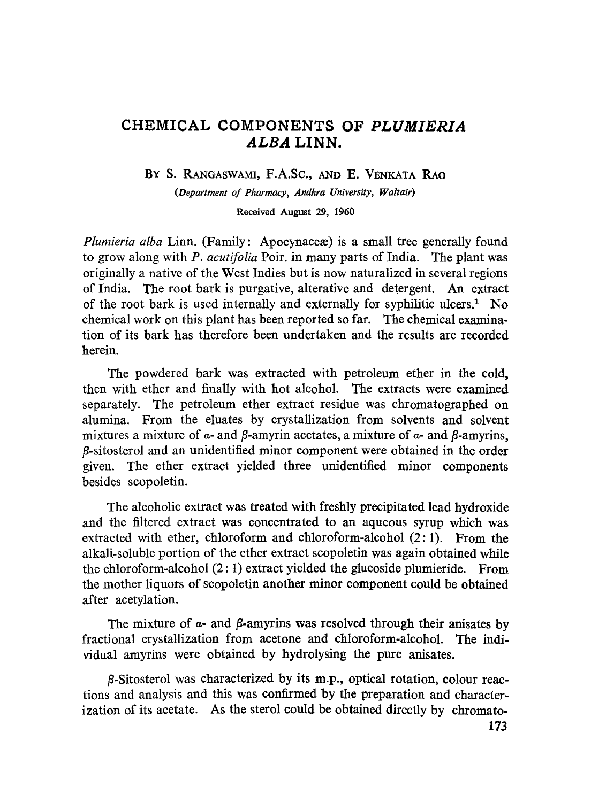# **CHEMICAL COMPONENTS OF** *PLUMIERIA ALBA* **LINN.**

BY S. RANGASWAMI, F.A.Sc., AND E. VENKATA RAO

*(Department of Pharmacy, Andhra University, Waltair)*

**Received August 29, 1960**

*Plumieria alba* Linn. (Family: Apocynaceae) is a small tree generally found to grow along with *P. acutifolia* Poir. in many parts of India. The plant was originally a native of the West Indies but is now naturalized in several regions of India. The root bark is purgative, alterative and detergent. An extract of the root bark is used internally and externally for syphilitic ulcers.<sup>1</sup> No chemical work on this plant has been reported so far. The chemical examination of its bark has therefore been undertaken and the results are recorded herein.

The powdered bark was extracted with petroleum ether in the cold, then with ether and finally with hot alcohol. The extracts were examined separately. The petroleum ether extract residue was chromatographed on alumina. From the eluates by crystallization from solvents and solvent mixtures a mixture of *a-* and *fl-*amyrin acetates, a mixture of *a-* and *fl-*amyrins, *fi-*sitosterol and an unidentified minor component were obtained in the order given. The ether extract yielded three unidentified minor components besides scopoletin.

The alcoholic extract was treated with freshly precipitated lead hydroxide and the filtered extract was concentrated to an aqueous syrup which was extracted with ether, chloroform and chloroform-alcohol (2: 1). From the alkali-soluble portion of the ether extract scopoletin was again obtained while the chloroform-alcohol (2: 1) extract yielded the glucoside plumieride. From the mother liquors of scopoletin another minor component could be obtained after acetylation.

The mixture of  $\alpha$ - and  $\beta$ -amyrins was resolved through their anisates by fractional crystallization from acetone and chloroform-alcohol. The individual amyrins were obtained by hydrolysing the pure anisates.

 $\beta$ -Sitosterol was characterized by its m.p., optical rotation, colour reactions and analysis and this was confirmed by the preparation and characterization of its acetate. As the sterol could be obtained directly by chromato-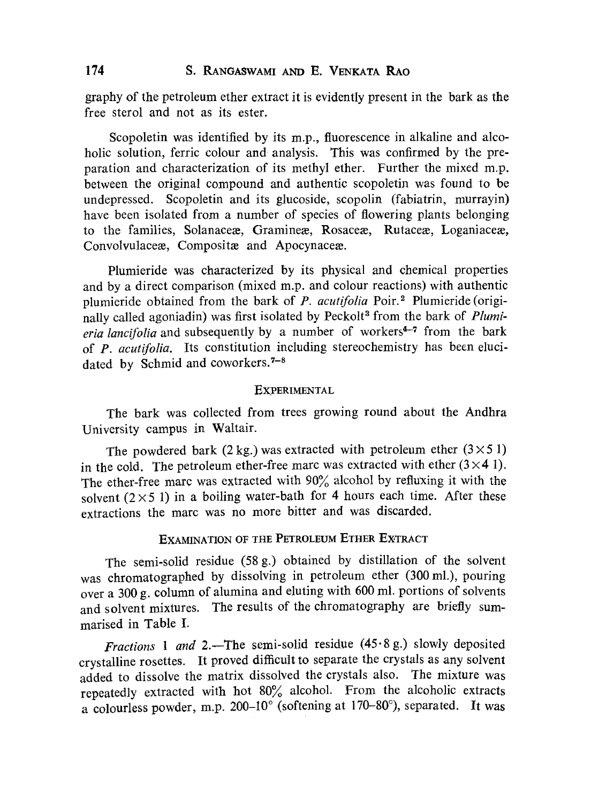graphy of the petroleum ether extract it is evidently present in the bark as the free sterol and not as its ester.

Scopoletin was identified by its m.p., fluorescence in alkaline and alcoholic solution, ferric colour and analysis. This was confirmed by the preparation and characterization of its methyl ether. Further the mixed m.p. between the original compound and authentic scopoletin was found to be undepressed. Scopoletin and its glucoside, scopolin (fabiatrin, murrayin) have been isolated from a number of species of flowering plants belonging to the families, Solanaceæ, Gramineæ, Rosaceæ, Rutaceæ, Loganiaceæ, Convolvulaceæ, Compositæ and Apocynaceæ.

Plumieride was characterized by its physical and chemical properties and by a direct comparison (mixed m.p. and colour reactions) with authentic plumieride obtained from the bark of *P. acutifolia* Poir. <sup>2</sup> Plumieride (originally called agoniadin) was first isolated by Peckolt<sup>3</sup> from the bark of *Plumieria lancifolia* and subsequently by a number of workers<sup>4-7</sup> from the bark of *P. acutifolia.* Its constitution including stereochemistry has been elucidated by Schmid and coworkers.<sup>7-8</sup>

#### **EXPERIMENTAL**

The bark was collected from trees growing round about the Andhra University campus in Waltair.

The powdered bark (2 kg.) was extracted with petroleum ether  $(3 \times 51)$ in the cold. The petroleum ether-free marc was extracted with ether  $(3 \times 4)$ . The ether-free marc was extracted with 90% alcohol by refluxing it with the solvent  $(2 \times 5)$  in a boiling water-bath for 4 hours each time. After these extractions the marc was no more bitter and was discarded.

## EXAMINATION OF THE PETROLEUM ETHER EXTRACT

The semi-solid residue (58 g.) obtained by distillation of the solvent was chromatographed by dissolving in petroleum ether (300 ml.), pouring over a 300 g. column of alumina and eluting with 600 ml. portions of solvents and solvent mixtures. The results of the chromatography are briefly summarised in Table I.

*Fractions 1 and 2.*-The semi-solid residue  $(45.8 g.)$  slowly deposited crystalline rosettes. It proved difficult to separate the crystals as any solvent added to dissolve the matrix dissolved the crystals also. The mixture was repeatedly extracted with hot 80% alcohol. From the alcoholic extracts a colourless powder, m.p. 200-10 $^{\circ}$  (softening at 170-80 $^{\circ}$ ), separated. It was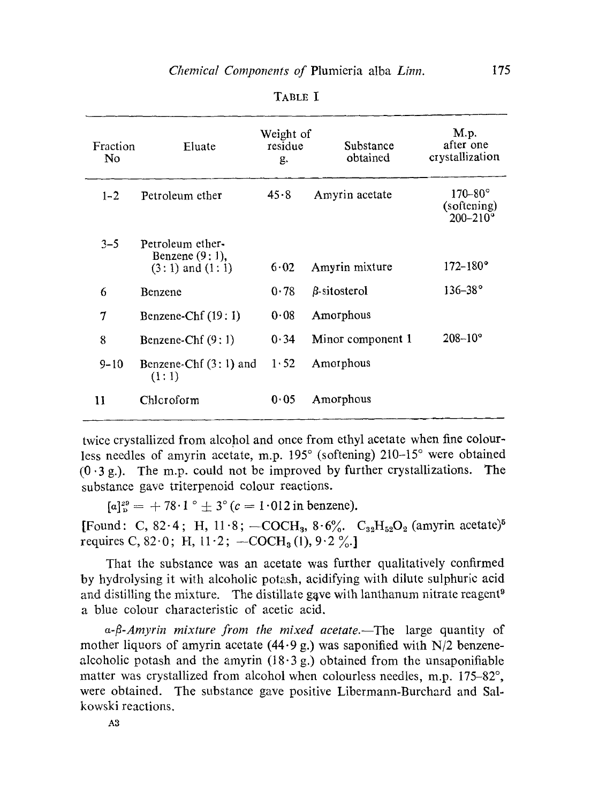| Fraction<br>No | Eluate                                                       | Weight of<br>residue<br>g. | Substance<br>obtained | M.p.<br>after one<br>crystallization           |
|----------------|--------------------------------------------------------------|----------------------------|-----------------------|------------------------------------------------|
| $1 - 2$        | Petroleum ether                                              | 45.8                       | Amyrin acetate        | $170-80^\circ$<br>(softening)<br>$200 - 210$ ° |
| $3 - 5$        | Petroleum ether-<br>Benzene $(9:1)$ ,<br>$(3:1)$ and $(1:1)$ | 6.02                       | Amyrin mixture        | $172 - 180^{\circ}$                            |
| 6              | Benzene                                                      | 0.78                       | $\beta$ -sitosterol   | $136 - 38^{\circ}$                             |
| 7              | Benzene-Chf $(19:1)$                                         | 0.08                       | Amorphous             |                                                |
| 8              | Benzene-Chf $(9;1)$                                          | 0.34                       | Minor component 1     | $208 - 10^{\circ}$                             |
| $9 - 10$       | Benzene-Chf $(3:1)$ and<br>(1:1)                             | 1.52                       | Amorphous             |                                                |
| 11             | Chleroform                                                   | 0.05                       | Amorphous             |                                                |

TABLE I

twice crystallized from alcohol and once from ethyl acetate when fine colourless needles of amyrin acetate, m.p. 195° (softening) 210-15° were obtained  $(0.3 g.)$ . The m.p. could not be improved by further crystallizations. The substance gave triterpenoid colour reactions.

 $[a]_p^{29} = +78.1^\circ \pm 3^\circ (c = 1.012 \text{ in benzene}).$ 

[Found: C, 82.4; H, 11.8; -COCH<sub>3</sub>, 8.6%. C<sub>32</sub>H<sub>52</sub>O<sub>2</sub> (amyrin acetate)<sup>5</sup> requires C, 82.0; H, 11.2;  $-COCH<sub>3</sub>(1)$ , 9.2%.]

That the substance was an acetate was further qualitatively confirmed by hydrolysing it with alcoholic potash, acidifying with dilute sulphuric acid and distilling the mixture. The distillate gave with lanthanum nitrate reagent<sup>9</sup> a blue colour characteristic of acetic acid.

*a-J3-Amyrin mixture from the mixed acetate. —The* large quantity of mother liquors of amyrin acetate  $(44.9 g)$ , was saponified with N/2 benzenealcoholic potash and the amyrin  $(18.3 g)$  obtained from the unsaponifiable matter was crystallized from alcohol when colourless needles, m.p. 175-82°, were obtained. The substance gave positive Libermann-Burchard and Salkowski reactions.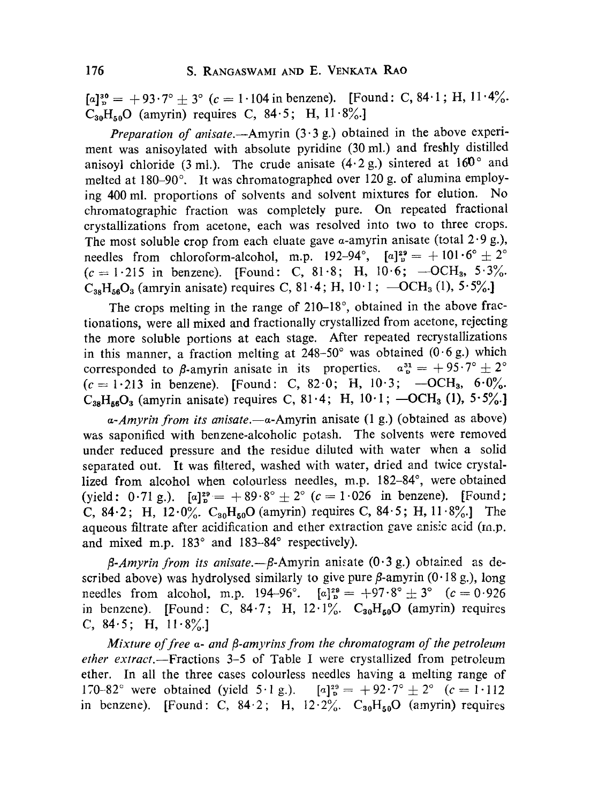$[a]_p^{30} = +93.7^\circ \pm 3^\circ$  (c = 1.104 in benzene). [Found: C, 84.1; H, 11.4%.  $C_{30}H_{50}O$  (amyrin) requires C,  $84.5$ ; H,  $11.8\%$ .

*Preparation of anisate.*—Amyrin (3.3 g.) obtained in the above experiment was anisoylated with absolute pyridine (30 ml.) and freshly distilled anisoyl chloride (3 ml.). The crude anisate  $(4.2 g)$  sintered at  $160^\circ$  and melted at 180-90°. It was chromatographed over 120 g. of alumina employing 400 ml. proportions of solvents and solvent mixtures for elution. No chromatographic fraction was completely pure. On repeated fractional crystallizations from acetone, each was resolved into two to three crops. The most soluble crop from each eluate gave  $\alpha$ -amyrin anisate (total 2.9 g.), needles from chloroform-alcohol, m.p. 192-94°,  $[a]_p^{29} = +101.6^\circ \pm 2^\circ$  $(c = 1.215 \text{ in benzene}).$  [Found: C, 81.8; H, 10.6; -OCH<sub>3</sub>, 5.3%.  $C_{38}H_{56}O_3$  (amryin anisate) requires C, 81.4; H, 10.1;  $-OCH_3$  (1),  $5.5\%$ .

The crops melting in the range of 210-18°, obtained in the above fractionations, were all mixed and fractionally crystallized from acetone, rejecting the more soluble portions at each stage. After repeated recrystallizations in this manner, a fraction melting at  $248-50^{\circ}$  was obtained  $(0.6 \text{ g.})$  which corresponded to  $\beta$ -amyrin anisate in its properties.  $a_{\rm p}^{31} = +95.7^{\circ} \pm 2^{\circ}$  $(c = 1.213$  in benzene). [Found: C, 82.0; H, 10.3; -OCH<sub>3</sub>, 6.0%.  $C_{38}H_{56}O_3$  (amyrin anisate) requires C, 81.4; H, 10.1;  $-OCH_3$  (1),  $5.5\%$ .

*a-Amyrin from its anisate. —a-Amyrin* anisate (1 g.) (obtained as above) was saponified with benzene-alcoholic potash. The solvents were removed under reduced pressure and the residue diluted with water when a solid separated out. It was filtered, washed with water, dried and twice crystallized from alcohol when colourless needles, m.p. 182-84°, were obtained (yield: 0.71 g.).  $[a]_p^{29} = +89.8^\circ \pm 2^\circ$  (c = 1.026 in benzene). [Found: C, 84.2; H,  $12.0\%$ .  $C_{30}H_{50}O$  (amyrin) requires C, 84.5; H,  $11.8\%$ . The aqueous filtrate after acidification and ether extraction gave anisic acid (m.p. and mixed m.p. 183° and 183-84° respectively).

*fl-Amyrin from its anisate.—p-Amyrin* anisate (0.3 g.) obtained as described above) was hydrolysed similarly to give pure  $\beta$ -amyrin (0.18 g.), long needles from alcohol, m.p. 194-96°.  $[a]_p^{29} = +97.8^\circ \pm 3^\circ$   $(c = 0.926$ in benzene). [Found: C,  $84.7$ ; H,  $12.1\%$ .  $C_{30}H_{50}O$  (amyrin) requires C,  $84.5$ ; H,  $11.8\%$ .

*Mixture of free a- and /3-amyrins from the chromatogram of the petroleum ether extract.—Fractions* 3-5 of Table I were crystallized from petroleum ether. In all the three cases colourless needles having a melting range of 170-82° were obtained (yield 5.1 g.).  $[a]_p^{29} = +92.7^\circ \pm 2^\circ$  (c = 1.112) in benzene). [Found: C,  $84.2$ ; H,  $12.2\%$ .  $C_{30}H_{50}O$  (amyrin) requires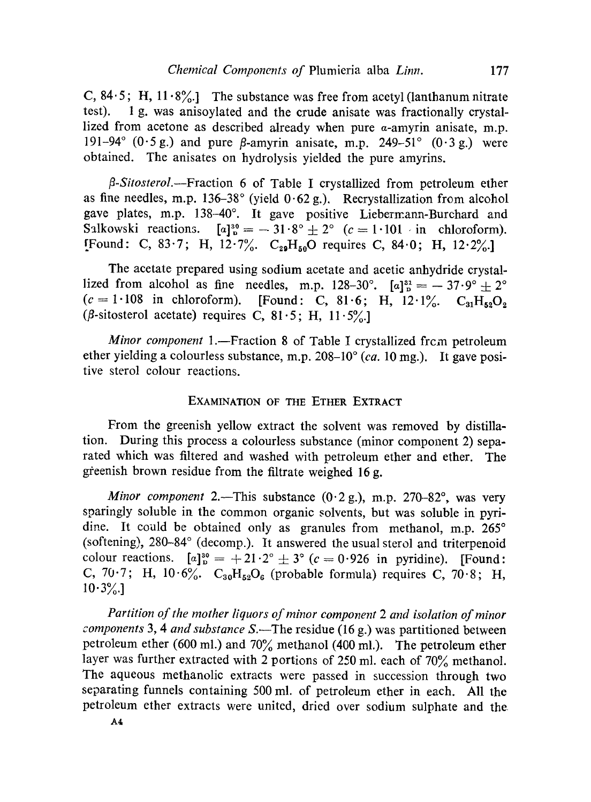C, 84.5; H, 11.8%.] The substance was free from acetyl (lanthanum nitrate test). 1 g. was anisoylated and the crude anisate was fractionally crystallized from acetone as described already when pure a-amyrin anisate, m.p. 191-94°  $(0.5 \text{ g.})$  and pure  $\beta$ -amyrin anisate, m.p. 249-51°  $(0.3 \text{ g.})$  were obtained. The anisates on hydrolysis yielded the pure amyrins.

*l3-Sitosterol.—Fraction 6 of* Table I crystallized from petroleum ether as fine needles, m.p. *136-38°* (yield *0.62* g.). Recrystallization from alcohol gave plates, m.p. *138-40°.* It gave positive Liebermann-Burchard and Salkowski reactions.  $[a]_p^{30} = -31.8^\circ \pm 2^\circ$  ( $c = 1.101$  in chloroform). [Found: C, 83.7; H,  $12.7\%$ . C<sub>29</sub>H<sub>50</sub>O requires C, 84.0; H, 12.2%.]

The acetate prepared using sodium acetate and acetic anhydride crystallized from alcohol as fine needles, m.p.  $128-30^{\circ}$ .  $[a]_p^{31} = -37.9^{\circ} \pm 2^{\circ}$ <br>(c = 1.108 in chloroform). [Found: C, 81.6; H,  $12.1\%$ . C<sub>31</sub>H<sub>52</sub>O<sub>3</sub> ( $\beta$ -sitosterol acetate) requires C,  $81.5$ ; H,  $11.5\%$ .

*Minor component* 1.—Fraction 8 of Table I crystallized frcm petroleum ether yielding a colourless substance, m.p. *208-10° (ca. 10* mg.). It gave positive sterol colour reactions.

#### EXAMINATION OF THE ETHER EXTRACT

From the greenish yellow extract the solvent was removed by distillation. During this process a colourless substance (minor component *2)* separated which was filtered and washed with petroleum ether and ether. The gieenish brown residue from the filtrate weighed *16* g.

*Minor component 2.*—This substance *(0.2* g.), m.p. *270-82°,* was very sparingly soluble in the common organic solvents, but was soluble in pyridine. It could be obtained only as granules from methanol, m.p. *265°* (softening), *280-84°* (decomp.). It answered the usual sterol and triterpenoid colour reactions.  $[a]_p^{30} = +21 \cdot 2^{\circ} \pm 3^{\circ}$  ( $c = 0.926$  in pyridine). [Found: C,  $70.7$ ; H,  $10.6\%$ .  $C_{30}H_{52}O_6$  (probable formula) requires C,  $70.8$ ; H, *10.3%.]*

*Partition of the mother liquors of minor component 2 and isolation of minor components 3, 4 and substance* S.—The residue *(16* g.) was partitioned between petroleum ether *(600* ml.) and *70%* methanol *(400* ml.). The petroleum ether layer was further extracted with 2 portions *of 250* ml. each of *70%* methanol. The aqueous methanolic extracts were passed in succession through two separating funnels containing 500 ml. *of* petroleum ether in each. All the petroleum ether extracts were united, dried over sodium sulphate and the.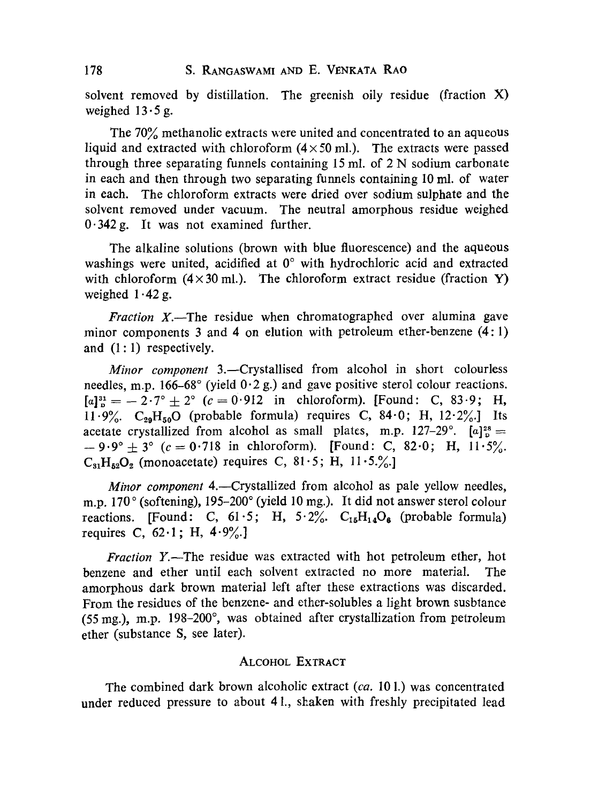solvent removed by distillation. The greenish oily residue (fraction X) weighed  $13.5$  g.

The 70% methanolic extracts were united and concentrated to an aqueous liquid and extracted with chloroform  $(4 \times 50 \text{ ml})$ . The extracts were passed through three separating funnels containing 15 ml. of 2 N sodium carbonate in each and then through two separating funnels containing 10 ml. of water in each. The chloroform extracts were dried over sodium sulphate and the solvent removed under vacuum. The neutral amorphous residue weighed  $0.342$  g. It was not examined further.

The alkaline solutions (brown with blue fluorescence) and the aqueous washings were united, acidified at 0° with hydrochloric acid and extracted with chloroform  $(4 \times 30 \text{ ml})$ . The chloroform extract residue (fraction Y) weighed  $1.42 g$ .

*Fraction X.*—The residue when chromatographed over alumina gave minor components 3 and 4 on elution with petroleum ether-benzene  $(4:1)$ and (1: 1) respectively.

*Minor component* 3.—Crystallised from alcohol in short colourless needles, m.p. 166-68 $^{\circ}$  (yield  $0.2$  g.) and gave positive sterol colour reactions.  $[a]_0^{31} = -2.7^\circ + 2^\circ$  (c = 0.912 in chloroform). [Found: C, 83.9; H,  $11.9\%$ .  $C_{29}H_{50}O$  (probable formula) requires C, 84.0; H, 12.2%. acetate crystallized from alcohol as small plates, m.p.  $127-29^\circ$ .  $[a]_p^{28} =$  $-9.9^{\circ} + 3^{\circ}$  (c = 0.718 in chloroform). [Found: C, 82.0; H, 11.5%.  $C_{91}H_{52}O_2$  (monoacetate) requires C,  $81.5$ ; H,  $11.5\%$ .

*Minor component* 4.—Crystallized from alcohol as pale yellow needles, m.p. 170° (softening), 195-200° (yield 10 mg.). It did not answer sterol colour reactions. [Found: C,  $61.5$ ; H,  $5.2\%$ .  $C_{16}H_{14}O_6$  (probable formula) requires C,  $62.1$ ; H,  $4.9\%$ .]

*Fraction* Y.—The residue was extracted with hot petroleum ether, hot benzene and ether until each solvent extracted no more material. The amorphous dark brown material left after these extractions was discarded. From the residues of the benzene- and ether-solubles a light brown susbtance (55 mg.), m.p. 198-200°, was obtained after crystallization from petroleum ether (substance S. see later).

#### ALCOHOL EXTRACT

The combined dark brown alcoholic extract *(ca.* 10 1.) was concentrated under reduced pressure to about 41., shaken with freshly precipitated lead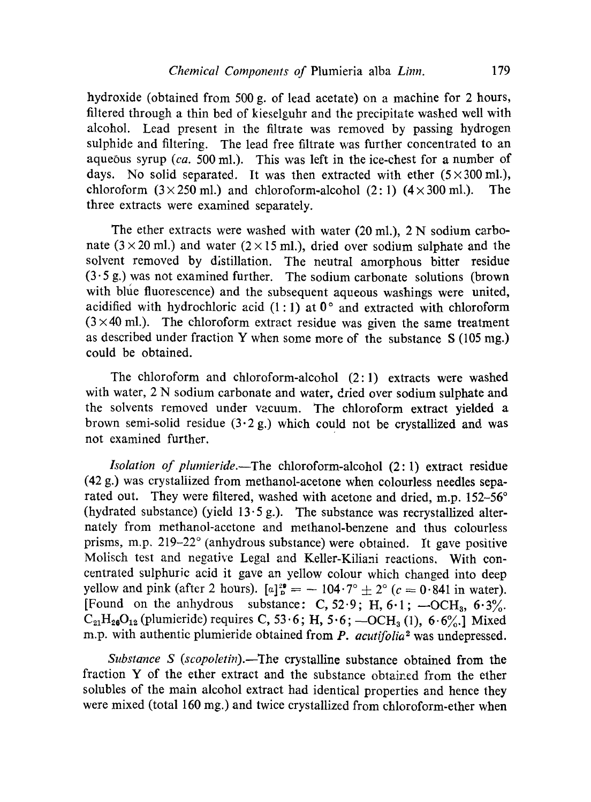hydroxide (obtained from 500 g. of lead acetate) on a machine for 2 hours, filtered through a thin bed of kieselguhr and the precipitate washed well with alcohol. Lead present in the filtrate was removed by passing hydrogen sulphide and filtering. The lead free filtrate was further concentrated to an aqueous syrup *(ca.* 500 ml.). This was left in the ice-chest for a number of days. No solid separated. It was then extracted with ether  $(5 \times 300 \text{ ml.})$ , chloroform  $(3 \times 250 \text{ ml.})$  and chloroform-alcohol  $(2: 1)$   $(4 \times 300 \text{ ml.})$ . The three extracts were examined separately.

The ether extracts were washed with water (20 ml.), 2 N sodium carbonate ( $3 \times 20$  ml.) and water ( $2 \times 15$  ml.), dried over sodium sulphate and the solvent removed by distillation. The neutral amorphous bitter residue  $(3.5 g)$  was not examined further. The sodium carbonate solutions (brown with blue fluorescence) and the subsequent aqueous washings were united, acidified with hydrochloric acid  $(1:1)$  at  $0^{\circ}$  and extracted with chloroform  $(3 \times 40 \text{ ml.})$ . The chloroform extract residue was given the same treatment as described under fraction Y when some more of the substance  $S(105 \text{ mg.})$ could be obtained.

The chloroform and chloroform-alcohol (2: 1) extracts were washed with water, 2 N sodium carbonate and water, dried over sodium sulphate and the solvents removed under vacuum. The chloroform extract vielded a brown semi-solid residue  $(3.2 g)$ , which could not be crystallized and was not examined further.

*Isolation of plumieride.—The* chloroform-alcohol (2: 1) extract residue (42 g.) was crystallized from methanol-acetone when colourless needles separated out. They were filtered, washed with acetone and dried, m.p. 152-56° (hydrated substance) (yield  $13.5 g$ .). The substance was recrystallized alternately from methanol-acetone and methanol-benzene and thus colourless prisms, m.p. 219-22° (anhydrous substance) were obtained. It gave positive Molisch test and negative Legal and Keller-Kiliani reactions. With concentrated sulphuric acid it gave an yellow colour which changed into deep yellow and pink (after 2 hours).  $[a]_p^{2\theta} = -104.7^\circ \pm 2^\circ$  ( $c = 0.841$  in water). [Found on the anhydrous substance: C,  $52.9$ ; H,  $6.1$ ;  $-OCH<sub>3</sub>$ ,  $6.3\%$ .  $C_{21}H_{20}O_{12}$  (plumieride) requires C, 53.6; H, 5.6;  $-OCH_3$  (1), 6.6%.] Mixed m.p. with authentic plumieride obtained from *P. acutifolia*<sup>2</sup> was undepressed.

*Substance S (scopoletin).—The* crystalline substance obtained from the fraction Y of the ether extract and the substance obtained from the ether solubles of the main alcohol extract had identical properties and hence they were mixed (total 160 mg.) and twice crystallized from chloroform-ether when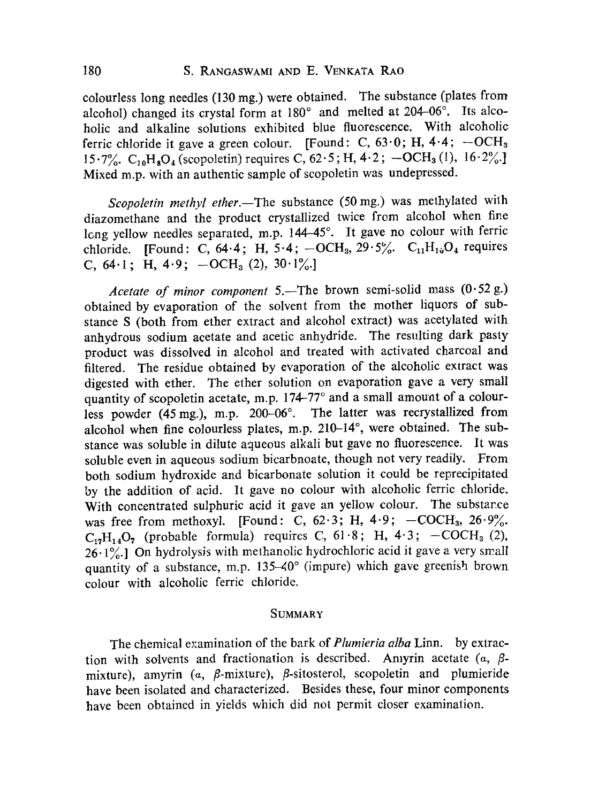colourless long needles (130 mg.) were obtained. The substance (plates from alcohol) changed its crystal form at 180° and melted at 204-06°. Its alcoholic and alkaline solutions exhibited blue fluorescence. With alcoholic ferric chloride it gave a green colour. [Found: C,  $63.0$ ; H,  $4.4$ ;  $-OCH<sub>3</sub>$ 15.7%.  $C_{10}H_8O_4$  (scopoletin) requires C, 62.5; H, 4.2; -OCH<sub>3</sub> (1), 16.2%. Mixed m.p. with an authentic sample of scopoletin was undepressed.

*Scopoletin methyl ether.—The* substance (50 mg.) was methylated with diazomethane and the product crystallized twice from alcohol when fine long yellow needles separated, m.p. 144-45°. It gave no colour with ferric chloride. [Found: C,  $64.4$ ; H,  $5.4$ ;  $-OCH_3$ ,  $29.5\%$ .  $C_{11}H_{14}O_4$  requires C,  $64.1$ ; H,  $4.9$ ;  $-OCH_3$  (2),  $30.1\%$ .

*Acetate of minor component* 5.—The brown semi-solid mass (0.52 g.) obtained by evaporation of the solvent from the mother liquors of substance S (both from ether extract and alcohol extract) was acetylated with anhydrous sodium acetate and acetic anhydride. The resulting dark pasty product was dissolved in alcohol and treated with activated charcoal and filtered. The residue obtained by evaporation of the alcoholic extract was digested with ether. The ether solution on evaporation gave a very small quantity of scopoletin acetate, m.p. 174-77° and a small amount of a colourless powder (45 mg.), m.p. 200-06°. The latter was recrystallized from alcohol when fine colourless plates, m.p. 210-14°, were obtained. The substance was soluble in dilute aqueous alkali but gave no fluorescence. It was soluble even in aqueous sodium bicarbnoate, though not very readily. From both sodium hydroxide and bicarbonate solution it could be reprecipitated by the addition of acid. It gave no colour with alcoholic ferric chloride. With concentrated sulphuric acid it gave an yellow colour. The substance was free from methoxyl. [Found: C,  $62.3$ ; H,  $4.9$ ;  $-COCH<sub>3</sub>$ ,  $26.9\%$ .  $C_{17}H_{14}O_7$  (probable formula) requires C, 61.8; H, 4.3; -COCH<sub>3</sub> (2),  $26.1\%$ .] On hydrolysis with methanolic hydrochloric acid it gave a very small quantity of a substance, m.p.  $135-40^{\circ}$  (impure) which gave greenish brown colour with alcoholic ferric chloride.

#### SUMMARY

The chemical examination of the bark of *Plumieria alba* Linn. by extraction with solvents and fractionation is described. Amyrin acetate  $(a, \beta$ mixture), amyrin ( $\alpha$ ,  $\beta$ -mixture),  $\beta$ -sitosterol, scopoletin and plumieride have been isolated and characterized. Besides these, four minor components have been obtained in yields which did not permit closer examination.